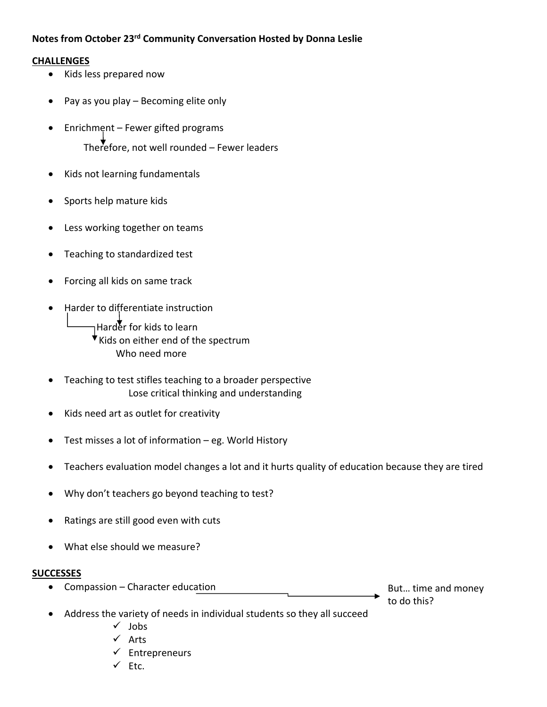## **Notes from October 23rd Community Conversation Hosted by Donna Leslie**

## **CHALLENGES**

- Kids less prepared now
- Pay as you play Becoming elite only
- Enrichment Fewer gifted programs Therefore, not well rounded  $-$  Fewer leaders
- Kids not learning fundamentals
- Sports help mature kids
- Less working together on teams
- Teaching to standardized test
- Forcing all kids on same track
- Harder to differentiate instruction

Harder for kids to learn  $\overline{\mathsf{v}}$  Kids on either end of the spectrum Who need more

- Teaching to test stifles teaching to a broader perspective Lose critical thinking and understanding
- Kids need art as outlet for creativity
- Test misses a lot of information eg. World History
- Teachers evaluation model changes a lot and it hurts quality of education because they are tired
- Why don't teachers go beyond teaching to test?
- Ratings are still good even with cuts
- What else should we measure?

## **SUCCESSES**

• Compassion – Character education

But… time and money to do this?

- Address the variety of needs in individual students so they all succeed
	- $\checkmark$  Jobs
	- $\checkmark$  Arts
	- $\checkmark$  Entrepreneurs
	- $\checkmark$  Etc.